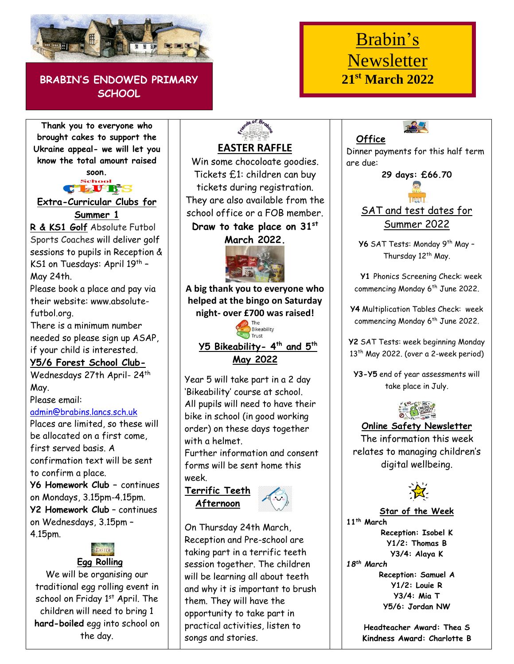

## **BRABIN'S ENDOWED PRIMARY SCHOOL**

# Brabin's **Newsletter 21st March 2022**

**Thank you to everyone who brought cakes to support the Ukraine appeal- we will let you know the total amount raised**

**soon.** sab. **CLUBS** 

**Extra-Curricular Clubs for Summer 1**

**R & KS1 Golf** Absolute Futbol Sports Coaches will deliver golf sessions to pupils in Reception & KS1 on Tuesdays: April 19<sup>th</sup> -May 24th.

Please book a place and pay via their website: www.absolutefutbol.org.

There is a minimum number needed so please sign up ASAP, if your child is interested.

**Y5/6 Forest School Club-**

Wednesdays 27th April- 24th May.

Please email:

#### [admin@brabins.lancs.sch.uk](mailto:admin@brabins.lancs.sch.uk)

Places are limited, so these will be allocated on a first come, first served basis. A confirmation text will be sent to confirm a place. **Y6 Homework Club –** continues on Mondays, 3.15pm-4.15pm. **Y2 Homework Club** – continues on Wednesdays, 3.15pm – 4.15pm.

**Egg Rolling** 

We will be organising our traditional egg rolling event in school on Friday 1<sup>st</sup> April. The children will need to bring 1 **hard-boiled** egg into school on the day.

# **EASTER RAFFLE**

Win some chocoloate goodies. Tickets £1: children can buy tickets during registration. They are also available from the school office or a FOB member.

#### **Draw to take place on 31st March 2022.**



**A big thank you to everyone who helped at the bingo on Saturday night- over £700 was raised!**



Year 5 will take part in a 2 day 'Bikeability' course at school. All pupils will need to have their bike in school (in good working order) on these days together with a helmet.

Further information and consent forms will be sent home this week.

**Terrific Teeth Afternoon**



On Thursday 24th March, Reception and Pre-school are taking part in a terrific teeth session together. The children will be learning all about teeth and why it is important to brush them. They will have the opportunity to take part in practical activities, listen to songs and stories.

**Office** Dinner payments for this half term are due:

#### **29 days: £66.70**



### SAT and test dates for Summer 2022

Y6 SAT Tests: Monday 9<sup>th</sup> May -Thursday 12<sup>th</sup> May.

 **Y1** Phonics Screening Check: week commencing Monday 6<sup>th</sup> June 2022.

**Y4** Multiplication Tables Check: week commencing Monday 6<sup>th</sup> June 2022.

**Y2** SAT Tests: week beginning Monday 13<sup>th</sup> May 2022. (over a 2-week period)

**Y3-Y5** end of year assessments will take place in July.



#### **Online Safety Newsletter**

The information this week relates to managing children's digital wellbeing.



**Star of the Week 11th March Reception: Isobel K Y1/2: Thomas B Y3/4: Alaya K** *18th March* **Reception: Samuel A Y1/2: Louie R Y3/4: Mia T Y5/6: Jordan NW**

> **Headteacher Award: Thea S Kindness Award: Charlotte B**